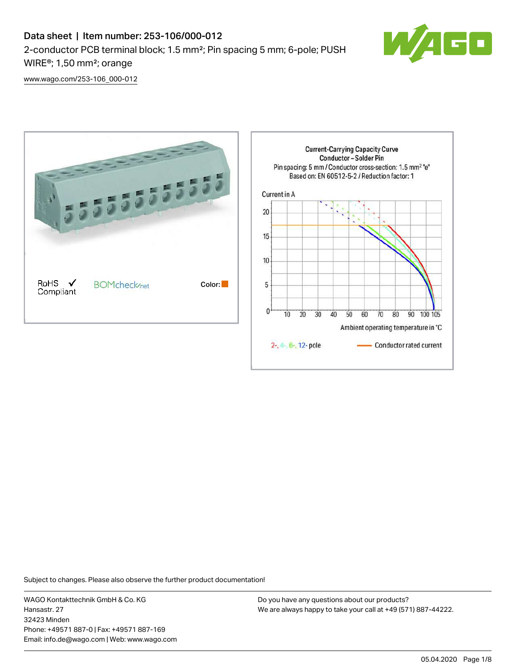

[www.wago.com/253-106\\_000-012](http://www.wago.com/253-106_000-012)



Subject to changes. Please also observe the further product documentation!

WAGO Kontakttechnik GmbH & Co. KG Hansastr. 27 32423 Minden Phone: +49571 887-0 | Fax: +49571 887-169 Email: info.de@wago.com | Web: www.wago.com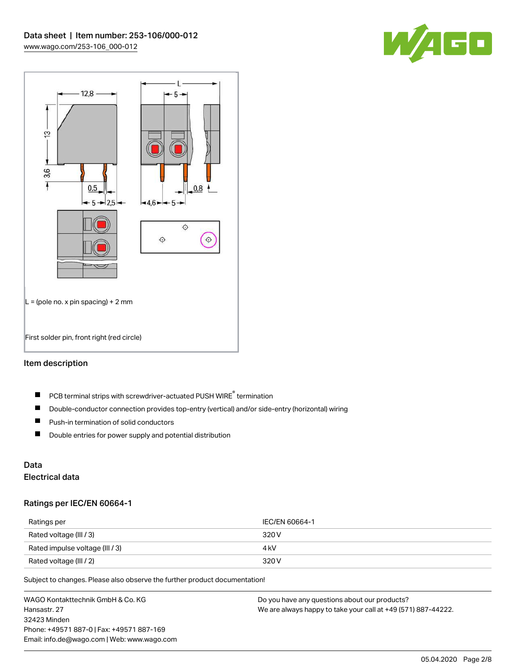



## Item description

- PCB terminal strips with screwdriver-actuated PUSH WIRE® termination  $\blacksquare$
- $\blacksquare$ Double-conductor connection provides top-entry (vertical) and/or side-entry (horizontal) wiring
- $\blacksquare$ Push-in termination of solid conductors
- $\blacksquare$ Double entries for power supply and potential distribution

# Data

## Electrical data

#### Ratings per IEC/EN 60664-1

| Ratings per                     | IEC/EN 60664-1 |
|---------------------------------|----------------|
| Rated voltage (III / 3)         | 320 V          |
| Rated impulse voltage (III / 3) | 4 kV           |
| Rated voltage (III / 2)         | 320 V          |

Subject to changes. Please also observe the further product documentation!

WAGO Kontakttechnik GmbH & Co. KG Hansastr. 27 32423 Minden Phone: +49571 887-0 | Fax: +49571 887-169 Email: info.de@wago.com | Web: www.wago.com Do you have any questions about our products? We are always happy to take your call at +49 (571) 887-44222.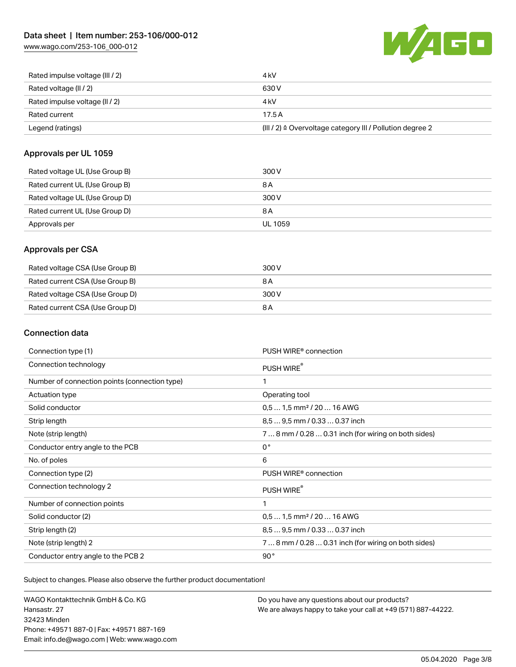[www.wago.com/253-106\\_000-012](http://www.wago.com/253-106_000-012)



| Rated current<br>Legend (ratings) | 17.5A<br>$(III / 2)$ $\triangle$ Overvoltage category III / Pollution degree 2 |
|-----------------------------------|--------------------------------------------------------------------------------|
|                                   |                                                                                |
| Rated impulse voltage (II / 2)    | 4 kV                                                                           |
| Rated voltage (II / 2)            | 630 V                                                                          |
| Rated impulse voltage (III / 2)   | 4 kV                                                                           |

#### Approvals per UL 1059

| Rated voltage UL (Use Group B) | 300 V   |
|--------------------------------|---------|
| Rated current UL (Use Group B) | 8 A     |
| Rated voltage UL (Use Group D) | 300 V   |
| Rated current UL (Use Group D) | 8 A     |
| Approvals per                  | UL 1059 |

#### Approvals per CSA

| Rated voltage CSA (Use Group B) | 300 V |
|---------------------------------|-------|
| Rated current CSA (Use Group B) | 8 A   |
| Rated voltage CSA (Use Group D) | 300 V |
| Rated current CSA (Use Group D) | 8 A   |

### Connection data

| Connection type (1)                           | PUSH WIRE <sup>®</sup> connection                    |
|-----------------------------------------------|------------------------------------------------------|
| Connection technology                         | PUSH WIRE®                                           |
| Number of connection points (connection type) | 1                                                    |
| Actuation type                                | Operating tool                                       |
| Solid conductor                               | $0.51.5$ mm <sup>2</sup> / 20  16 AWG                |
| Strip length                                  | 8,5  9,5 mm / 0.33  0.37 inch                        |
| Note (strip length)                           | 7  8 mm / 0.28  0.31 inch (for wiring on both sides) |
| Conductor entry angle to the PCB              | $0^{\circ}$                                          |
| No. of poles                                  | 6                                                    |
| Connection type (2)                           | PUSH WIRE <sup>®</sup> connection                    |
| Connection technology 2                       | PUSH WIRE®                                           |
| Number of connection points                   | 1                                                    |
| Solid conductor (2)                           | $0.51.5$ mm <sup>2</sup> / 20  16 AWG                |
| Strip length (2)                              | 8.5  9.5 mm / 0.33  0.37 inch                        |
| Note (strip length) 2                         | 7  8 mm / 0.28  0.31 inch (for wiring on both sides) |
| Conductor entry angle to the PCB 2            | 90°                                                  |

Subject to changes. Please also observe the further product documentation!

WAGO Kontakttechnik GmbH & Co. KG Hansastr. 27 32423 Minden Phone: +49571 887-0 | Fax: +49571 887-169 Email: info.de@wago.com | Web: www.wago.com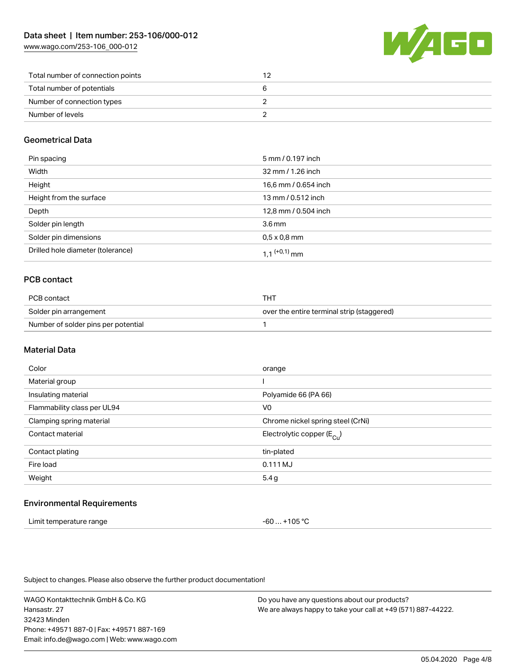[www.wago.com/253-106\\_000-012](http://www.wago.com/253-106_000-012)



| Total number of connection points |  |
|-----------------------------------|--|
| Total number of potentials        |  |
| Number of connection types        |  |
| Number of levels                  |  |

### Geometrical Data

| Pin spacing                       | 5 mm / 0.197 inch          |
|-----------------------------------|----------------------------|
| Width                             | 32 mm / 1.26 inch          |
| Height                            | 16,6 mm / 0.654 inch       |
| Height from the surface           | 13 mm / 0.512 inch         |
| Depth                             | 12,8 mm / 0.504 inch       |
| Solder pin length                 | $3.6 \,\mathrm{mm}$        |
| Solder pin dimensions             | $0.5 \times 0.8$ mm        |
| Drilled hole diameter (tolerance) | $1.1$ <sup>(+0,1)</sup> mm |

### PCB contact

| PCB contact                         | тнт                                        |
|-------------------------------------|--------------------------------------------|
| Solder pin arrangement              | over the entire terminal strip (staggered) |
| Number of solder pins per potential |                                            |

#### Material Data

| Color                       | orange                                |
|-----------------------------|---------------------------------------|
| Material group              |                                       |
| Insulating material         | Polyamide 66 (PA 66)                  |
| Flammability class per UL94 | V <sub>0</sub>                        |
| Clamping spring material    | Chrome nickel spring steel (CrNi)     |
| Contact material            | Electrolytic copper $(E_{\text{Cl}})$ |
| Contact plating             | tin-plated                            |
| Fire load                   | 0.111 MJ                              |
| Weight                      | 5.4 g                                 |
|                             |                                       |

#### Environmental Requirements

| Limit temperature range | -60  +105 °C |
|-------------------------|--------------|
|-------------------------|--------------|

Subject to changes. Please also observe the further product documentation!

WAGO Kontakttechnik GmbH & Co. KG Hansastr. 27 32423 Minden Phone: +49571 887-0 | Fax: +49571 887-169 Email: info.de@wago.com | Web: www.wago.com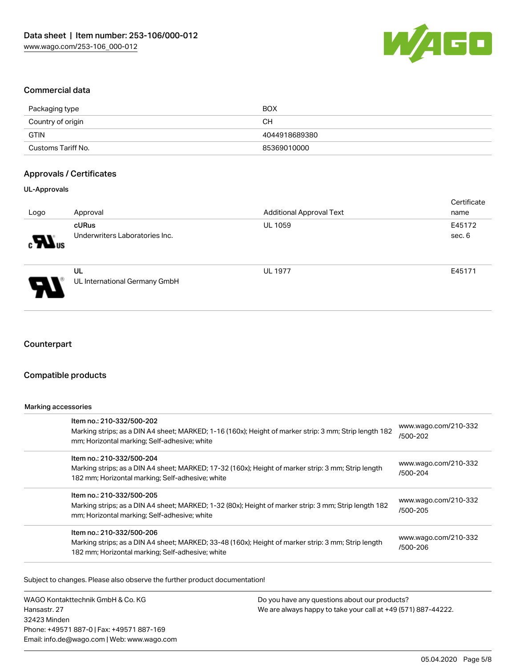

#### Commercial data

| Packaging type     | <b>BOX</b>    |
|--------------------|---------------|
| Country of origin  | CН            |
| GTIN               | 4044918689380 |
| Customs Tariff No. | 85369010000   |

#### Approvals / Certificates

#### UL-Approvals

| Logo                                     | Approval                                | <b>Additional Approval Text</b> | Certificate<br>name |
|------------------------------------------|-----------------------------------------|---------------------------------|---------------------|
| $\boldsymbol{\mathcal{H}}$ <sup>ne</sup> | cURus<br>Underwriters Laboratories Inc. | <b>UL 1059</b>                  | E45172<br>sec. 6    |
| P.                                       | UL<br>UL International Germany GmbH     | <b>UL 1977</b>                  | E45171              |

#### **Counterpart**

#### Compatible products

#### Marking accessories

| Item no.: 210-332/500-202<br>Marking strips; as a DIN A4 sheet; MARKED; 1-16 (160x); Height of marker strip: 3 mm; Strip length 182<br>mm; Horizontal marking; Self-adhesive; white  | www.wago.com/210-332<br>/500-202 |
|--------------------------------------------------------------------------------------------------------------------------------------------------------------------------------------|----------------------------------|
| Item no.: 210-332/500-204<br>Marking strips; as a DIN A4 sheet; MARKED; 17-32 (160x); Height of marker strip: 3 mm; Strip length<br>182 mm; Horizontal marking; Self-adhesive; white | www.wago.com/210-332<br>/500-204 |
| Item no.: 210-332/500-205<br>Marking strips; as a DIN A4 sheet; MARKED; 1-32 (80x); Height of marker strip: 3 mm; Strip length 182<br>mm; Horizontal marking; Self-adhesive; white   | www.wago.com/210-332<br>/500-205 |
| Item no.: 210-332/500-206<br>Marking strips; as a DIN A4 sheet; MARKED; 33-48 (160x); Height of marker strip: 3 mm; Strip length<br>182 mm; Horizontal marking; Self-adhesive; white | www.wago.com/210-332<br>/500-206 |

Subject to changes. Please also observe the further product documentation!

WAGO Kontakttechnik GmbH & Co. KG Hansastr. 27 32423 Minden Phone: +49571 887-0 | Fax: +49571 887-169 Email: info.de@wago.com | Web: www.wago.com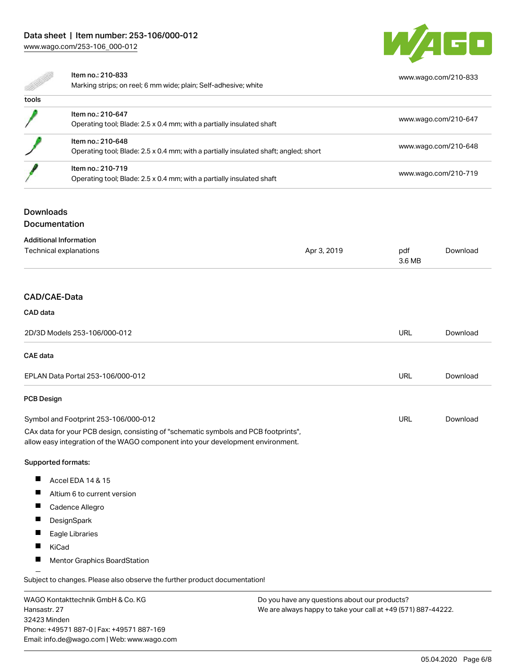# Data sheet | Item number: 253-106/000-012

[www.wago.com/253-106\\_000-012](http://www.wago.com/253-106_000-012)



[www.wago.com/210-833](http://www.wago.com/210-833)

#### Item no.: 210-833

Marking strips; on reel; 6 mm wide; plain; Self-adhesive; white

| tools |                                                                                                           |                      |
|-------|-----------------------------------------------------------------------------------------------------------|----------------------|
|       | Item no.: 210-647<br>Operating tool; Blade: 2.5 x 0.4 mm; with a partially insulated shaft                | www.wago.com/210-647 |
|       | Item no.: 210-648<br>Operating tool; Blade: 2.5 x 0.4 mm; with a partially insulated shaft; angled; short | www.wago.com/210-648 |
|       | Item no.: 210-719<br>Operating tool; Blade: 2.5 x 0.4 mm; with a partially insulated shaft                | www.wago.com/210-719 |

#### **Downloads**

#### Documentation

| <b>Additional Information</b> |             |        |          |
|-------------------------------|-------------|--------|----------|
| Technical explanations        | Apr 3, 2019 | pdf    | Download |
|                               |             | 3.6 MB |          |
|                               |             |        |          |
|                               |             |        |          |

## CAD/CAE-Data

CAD data

# 2D/3D Models 253-106/000-012 URL [Download](https://www.wago.com/de/d/3D_URLS_253-106_000-012) CAE data EPLAN Data Portal 253-106/000-012 URL [Download](https://www.wago.com/de/d/EPLAN_URLS_253-106%252F000-012) PCB Design URL [Download](https://www.wago.com/de/d/UltraLibrarian_URLS_253-106_000-012)Symbol and Footprint 253-106/000-012 CAx data for your PCB design, consisting of "schematic symbols and PCB footprints", allow easy integration of the WAGO component into your development environment. Supported formats:  $\blacksquare$ Accel EDA 14 & 15

- $\blacksquare$
- Altium 6 to current version
- $\blacksquare$ Cadence Allegro
- $\blacksquare$ **DesignSpark**
- $\blacksquare$ Eagle Libraries
- $\blacksquare$ KiCad
- $\blacksquare$ Mentor Graphics BoardStation

Subject to changes. Please also observe the further product documentation!

WAGO Kontakttechnik GmbH & Co. KG Hansastr. 27 32423 Minden Phone: +49571 887-0 | Fax: +49571 887-169 Email: info.de@wago.com | Web: www.wago.com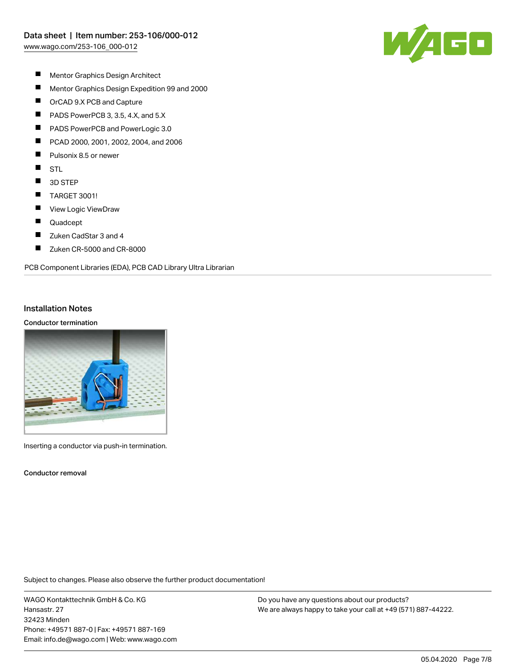

- $\blacksquare$ Mentor Graphics Design Architect
- $\blacksquare$ Mentor Graphics Design Expedition 99 and 2000
- $\blacksquare$ OrCAD 9.X PCB and Capture
- $\blacksquare$ PADS PowerPCB 3, 3.5, 4.X, and 5.X
- П PADS PowerPCB and PowerLogic 3.0
- П PCAD 2000, 2001, 2002, 2004, and 2006
- П Pulsonix 8.5 or newer
- $\blacksquare$ STL
- $\blacksquare$ 3D STEP
- $\blacksquare$ TARGET 3001!
- $\blacksquare$ View Logic ViewDraw
- П Quadcept
- $\blacksquare$ Zuken CadStar 3 and 4
- $\blacksquare$ Zuken CR-5000 and CR-8000

PCB Component Libraries (EDA), PCB CAD Library Ultra Librarian

#### Installation Notes

#### Conductor termination



Inserting a conductor via push-in termination.

Conductor removal

Subject to changes. Please also observe the further product documentation!

WAGO Kontakttechnik GmbH & Co. KG Hansastr. 27 32423 Minden Phone: +49571 887-0 | Fax: +49571 887-169 Email: info.de@wago.com | Web: www.wago.com